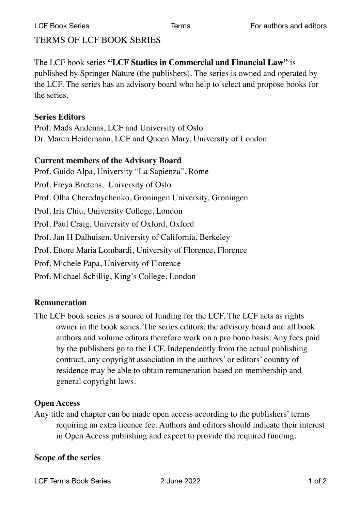# TERMS OF LCF BOOK SERIES

The LCF book series **"LCF Studies in Commercial and Financial Law"** is published by Springer Nature (the publishers). The series is owned and operated by the LCF. The series has an advisory board who help to select and propose books for the series.

#### **Series Editors**

Prof. Mads Andenas, LCF and University of Oslo Dr. Maren Heidemann, LCF and Queen Mary, University of London

#### **Current members of the Advisory Board**

Prof. Guido Alpa, University "La Sapienza", Rome Prof. Freya Baetens, University of Oslo Prof. Olha Cherednychenko, Groningen University, Groningen Prof. Iris Chiu, University College, London Prof. Paul Craig, University of Oxford, Oxford Prof. Jan H Dalhuisen, University of California, Berkeley Prof. Ettore Maria Lombardi, University of Florence, Florence Prof. Michele Papa, University of Florence Prof. Michael Schillig, King's College, London

## **Remuneration**

The LCF book series is a source of funding for the LCF. The LCF acts as rights owner in the book series. The series editors, the advisory board and all book authors and volume editors therefore work on a pro bono basis. Any fees paid by the publishers go to the LCF. Independently from the actual publishing contract, any copyright association in the authors' or editors' country of residence may be able to obtain remuneration based on membership and general copyright laws.

## **Open Access**

Any title and chapter can be made open access according to the publishers' terms requiring an extra licence fee. Authors and editors should indicate their interest in Open Access publishing and expect to provide the required funding.

## **Scope of the series**